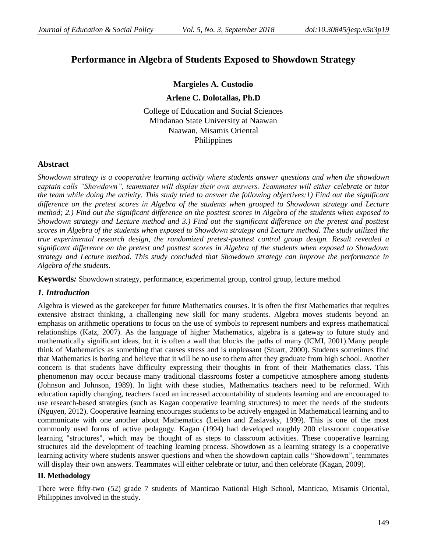# **Performance in Algebra of Students Exposed to Showdown Strategy**

# **Margieles A. Custodio**

#### **Arlene C. Dolotallas, Ph.D**

College of Education and Social Sciences Mindanao State University at Naawan Naawan, Misamis Oriental Philippines

# **Abstract**

*Showdown strategy is a cooperative learning activity where students answer questions and when the showdown captain calls "Showdown", teammates will display their own answers. Teammates will either celebrate or tutor the team while doing the activity. This study tried to answer the following objectives:1) Find out the significant difference on the pretest scores in Algebra of the students when grouped to Showdown strategy and Lecture method; 2.) Find out the significant difference on the posttest scores in Algebra of the students when exposed to Showdown strategy and Lecture method and 3.) Find out the significant difference on the pretest and posttest scores in Algebra of the students when exposed to Showdown strategy and Lecture method. The study utilized the true experimental research design, the randomized pretest-posttest control group design. Result revealed a significant difference on the pretest and posttest scores in Algebra of the students when exposed to Showdown strategy and Lecture method. This study concluded that Showdown strategy can improve the performance in Algebra of the students.*

**Keywords***:* Showdown strategy, performance, experimental group, control group, lecture method

#### *1. Introduction*

Algebra is viewed as the gatekeeper for future Mathematics courses. It is often the first Mathematics that requires extensive abstract thinking, a challenging new skill for many students. Algebra moves students beyond an emphasis on arithmetic operations to focus on the use of symbols to represent numbers and express mathematical relationships (Katz, 2007). As the language of higher Mathematics, algebra is a gateway to future study and mathematically significant ideas, but it is often a wall that blocks the paths of many (ICMI, 2001).Many people think of Mathematics as something that causes stress and is unpleasant (Stuart, 2000). Students sometimes find that Mathematics is boring and believe that it will be no use to them after they graduate from high school. Another concern is that students have difficulty expressing their thoughts in front of their Mathematics class. This phenomenon may occur because many traditional classrooms foster a competitive atmosphere among students (Johnson and Johnson, 1989). In light with these studies, Mathematics teachers need to be reformed. With education rapidly changing, teachers faced an increased accountability of students learning and are encouraged to use research-based strategies (such as Kagan cooperative learning structures) to meet the needs of the students (Nguyen, 2012). Cooperative learning encourages students to be actively engaged in Mathematical learning and to communicate with one another about Mathematics (Leiken and Zaslavsky, 1999). This is one of the most commonly used forms of active pedagogy. Kagan (1994) had developed roughly 200 classroom cooperative learning "structures", which may be thought of as steps to classroom activities. These cooperative learning structures aid the development of teaching learning process. Showdown as a learning strategy is a cooperative learning activity where students answer questions and when the showdown captain calls "Showdown", teammates will display their own answers. Teammates will either celebrate or tutor, and then celebrate (Kagan, 2009).

#### **II. Methodology**

There were fifty-two (52) grade 7 students of Manticao National High School, Manticao, Misamis Oriental, Philippines involved in the study.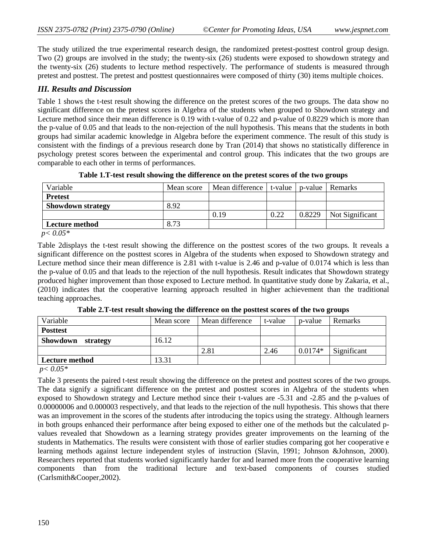The study utilized the true experimental research design, the randomized pretest-posttest control group design. Two (2) groups are involved in the study; the twenty-six (26) students were exposed to showdown strategy and the twenty-six (26) students to lecture method respectively. The performance of students is measured through pretest and posttest. The pretest and posttest questionnaires were composed of thirty (30) items multiple choices.

#### *III. Results and Discussion*

Table 1 shows the t-test result showing the difference on the pretest scores of the two groups. The data show no significant difference on the pretest scores in Algebra of the students when grouped to Showdown strategy and Lecture method since their mean difference is 0.19 with t-value of 0.22 and p-value of 0.8229 which is more than the p-value of 0.05 and that leads to the non-rejection of the null hypothesis. This means that the students in both groups had similar academic knowledge in Algebra before the experiment commence. The result of this study is consistent with the findings of a previous research done by Tran (2014) that shows no statistically difference in psychology pretest scores between the experimental and control group. This indicates that the two groups are comparable to each other in terms of performances.

| Variable                 | Mean score | Mean difference   t-value |      | p-value | Remarks         |
|--------------------------|------------|---------------------------|------|---------|-----------------|
| <b>Pretest</b>           |            |                           |      |         |                 |
| <b>Showdown strategy</b> | 8.92       |                           |      |         |                 |
|                          |            | 0.19                      | 0.22 | 0.8229  | Not Significant |
| Lecture method           | 8.73       |                           |      |         |                 |
| $n \times 0.05*$         |            |                           |      |         |                 |

**Table 1.T-test result showing the difference on the pretest scores of the two groups**

 *p< 0.05\**

Table 2displays the t-test result showing the difference on the posttest scores of the two groups. It reveals a significant difference on the posttest scores in Algebra of the students when exposed to Showdown strategy and Lecture method since their mean difference is 2.81 with t-value is 2.46 and p-value of 0.0174 which is less than the p-value of 0.05 and that leads to the rejection of the null hypothesis. Result indicates that Showdown strategy produced higher improvement than those exposed to Lecture method. In quantitative study done by Zakaria, et al., (2010) indicates that the cooperative learning approach resulted in higher achievement than the traditional teaching approaches.

| Variable          | Mean score | Mean difference | t-value | p-value   | Remarks     |
|-------------------|------------|-----------------|---------|-----------|-------------|
| <b>Posttest</b>   |            |                 |         |           |             |
| Showdown strategy | 16.12      |                 |         |           |             |
|                   |            | 2.81            | 2.46    | $0.0174*$ | Significant |
| Lecture method    | 3.31       |                 |         |           |             |

**Table 2.T-test result showing the difference on the posttest scores of the two groups**

*p< 0.05\**

Table 3 presents the paired t-test result showing the difference on the pretest and posttest scores of the two groups. The data signify a significant difference on the pretest and posttest scores in Algebra of the students when exposed to Showdown strategy and Lecture method since their t-values are -5.31 and -2.85 and the p-values of 0.00000006 and 0.000003 respectively, and that leads to the rejection of the null hypothesis. This shows that there was an improvement in the scores of the students after introducing the topics using the strategy. Although learners in both groups enhanced their performance after being exposed to either one of the methods but the calculated pvalues revealed that Showdown as a learning strategy provides greater improvements on the learning of the students in Mathematics. The results were consistent with those of earlier studies comparing got her cooperative e learning methods against lecture independent styles of instruction (Slavin, 1991; Johnson &Johnson, 2000). Researchers reported that students worked significantly harder for and learned more from the cooperative learning components than from the traditional lecture and text-based components of courses studied (Carlsmith&Cooper,2002).